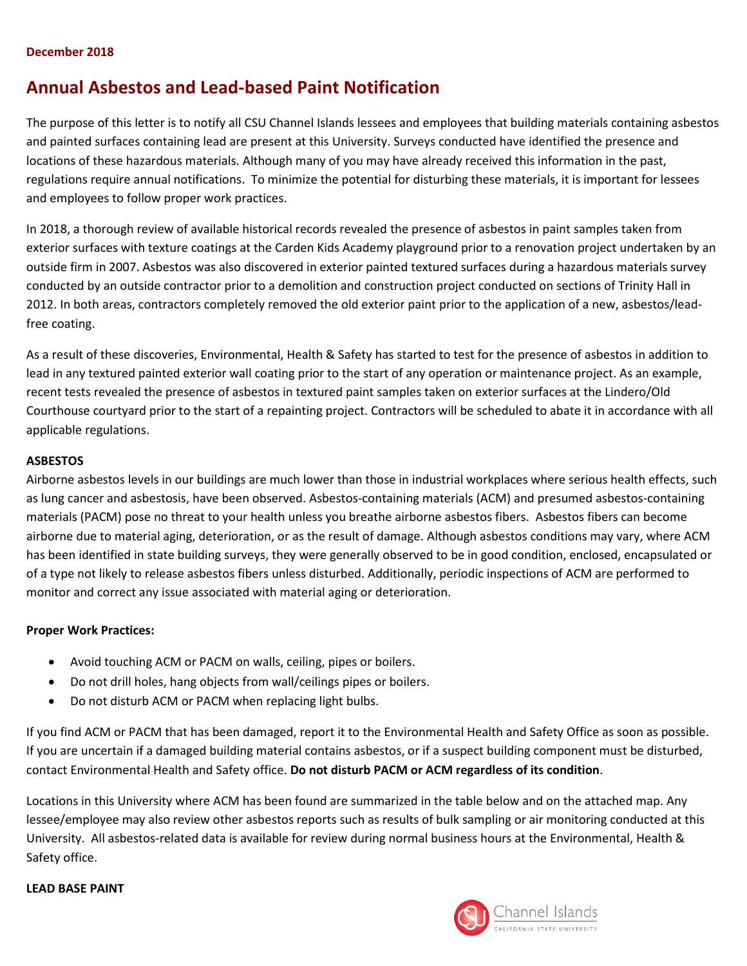#### **December 2018**

# **Annual Asbestos and Lead-based Paint Notification**

The purpose of this letter is to notify all CSU Channel Islands lessees and employees that building materials containing asbestos and painted surfaces containing lead are present at this University. Surveys conducted have identified the presence and locations of these hazardous materials. Although many of you may have already received this information in the past, regulations require annual notifications. To minimize the potential for disturbing these materials, it is important for lessees and employees to follow proper work practices.

In 2018, a thorough review of available historical records revealed the presence of asbestos in paint samples taken from exterior surfaces with texture coatings at the Carden Kids Academy playground prior to a renovation project undertaken by an outside firm in 2007. Asbestos was also discovered in exterior painted textured surfaces during a hazardous materials survey conducted by an outside contractor prior to a demolition and construction project conducted on sections of Trinity Hall in 2012. In both areas, contractors completely removed the old exterior paint prior to the application of a new, asbestos/leadfree coating.

As a result of these discoveries, Environmental, Health & Safety has started to test for the presence of asbestos in addition to lead in any textured painted exterior wall coating prior to the start of any operation or maintenance project. As an example, recent tests revealed the presence of asbestos in textured paint samples taken on exterior surfaces at the Lindero/Old Courthouse courtyard prior to the start of a repainting project. Contractors will be scheduled to abate it in accordance with all applicable regulations.

### **ASBESTOS**

Airborne asbestos levels in our buildings are much lower than those in industrial workplaces where serious health effects, such as lung cancer and asbestosis, have been observed. Asbestos-containing materials (ACM) and presumed asbestos-containing materials (PACM) pose no threat to your health unless you breathe airborne asbestos fibers. Asbestos fibers can become airborne due to material aging, deterioration, or as the result of damage. Although asbestos conditions may vary, where ACM has been identified in state building surveys, they were generally observed to be in good condition, enclosed, encapsulated or of a type not likely to release asbestos fibers unless disturbed. Additionally, periodic inspections of ACM are performed to monitor and correct any issue associated with material aging or deterioration.

### **Proper Work Practices:**

- Avoid touching ACM or PACM on walls, ceiling, pipes or boilers.
- Do not drill holes, hang objects from wall/ceilings pipes or boilers.
- Do not disturb ACM or PACM when replacing light bulbs.

If you find ACM or PACM that has been damaged, report it to the Environmental Health and Safety Office as soon as possible. If you are uncertain if a damaged building material contains asbestos, or if a suspect building component must be disturbed, contact Environmental Health and Safety office. **Do not disturb PACM or ACM regardless of its condition**.

Locations in this University where ACM has been found are summarized in the table below and on the attached map. Any lessee/employee may also review other asbestos reports such as results of bulk sampling or air monitoring conducted at this University. All asbestos-related data is available for review during normal business hours at the Environmental, Health & Safety office.

### **LEAD BASE PAINT**

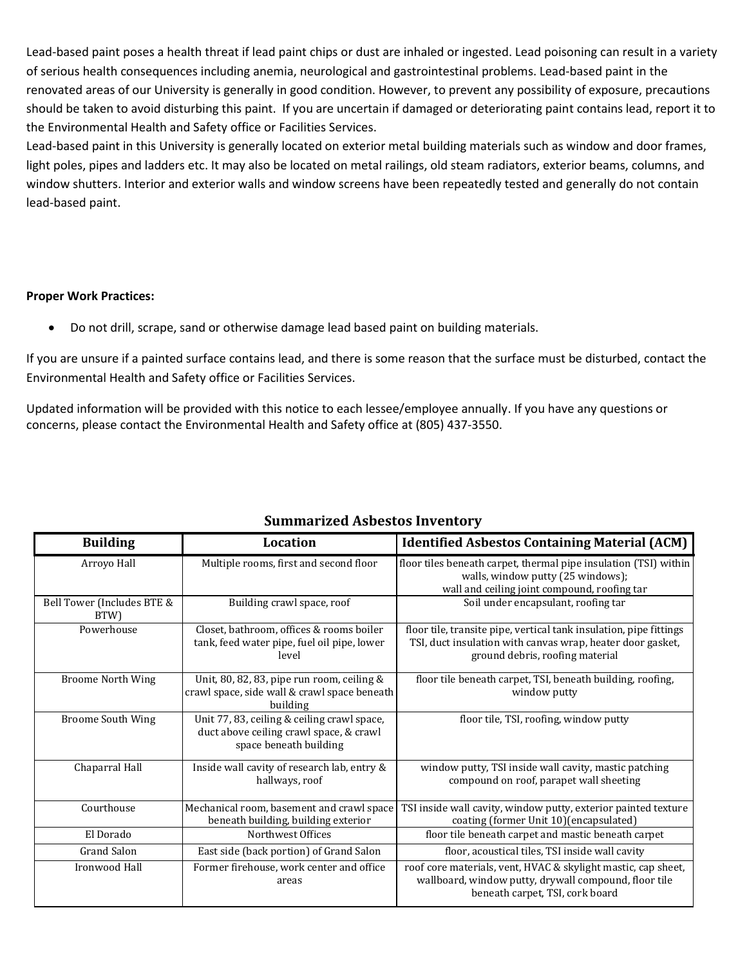Lead-based paint poses a health threat if lead paint chips or dust are inhaled or ingested. Lead poisoning can result in a variety of serious health consequences including anemia, neurological and gastrointestinal problems. Lead-based paint in the renovated areas of our University is generally in good condition. However, to prevent any possibility of exposure, precautions should be taken to avoid disturbing this paint. If you are uncertain if damaged or deteriorating paint contains lead, report it to the Environmental Health and Safety office or Facilities Services.

Lead-based paint in this University is generally located on exterior metal building materials such as window and door frames, light poles, pipes and ladders etc. It may also be located on metal railings, old steam radiators, exterior beams, columns, and window shutters. Interior and exterior walls and window screens have been repeatedly tested and generally do not contain lead-based paint.

### **Proper Work Practices:**

Do not drill, scrape, sand or otherwise damage lead based paint on building materials.

If you are unsure if a painted surface contains lead, and there is some reason that the surface must be disturbed, contact the Environmental Health and Safety office or Facilities Services.

Updated information will be provided with this notice to each lessee/employee annually. If you have any questions or concerns, please contact the Environmental Health and Safety office at (805) 437-3550.

| <b>Building</b>                    | Location                                                                                                         | <b>Identified Asbestos Containing Material (ACM)</b>                                                                                                                |
|------------------------------------|------------------------------------------------------------------------------------------------------------------|---------------------------------------------------------------------------------------------------------------------------------------------------------------------|
| Arroyo Hall                        | Multiple rooms, first and second floor                                                                           | floor tiles beneath carpet, thermal pipe insulation (TSI) within<br>walls, window putty (25 windows);<br>wall and ceiling joint compound, roofing tar               |
| Bell Tower (Includes BTE &<br>BTW) | Building crawl space, roof                                                                                       | Soil under encapsulant, roofing tar                                                                                                                                 |
| Powerhouse                         | Closet, bathroom, offices & rooms boiler<br>tank, feed water pipe, fuel oil pipe, lower<br>level                 | floor tile, transite pipe, vertical tank insulation, pipe fittings<br>TSI, duct insulation with canvas wrap, heater door gasket,<br>ground debris, roofing material |
| <b>Broome North Wing</b>           | Unit, 80, 82, 83, pipe run room, ceiling &<br>crawl space, side wall & crawl space beneath<br>building           | floor tile beneath carpet, TSI, beneath building, roofing,<br>window putty                                                                                          |
| <b>Broome South Wing</b>           | Unit 77, 83, ceiling & ceiling crawl space,<br>duct above ceiling crawl space, & crawl<br>space beneath building | floor tile, TSI, roofing, window putty                                                                                                                              |
| Chaparral Hall                     | Inside wall cavity of research lab, entry &<br>hallways, roof                                                    | window putty, TSI inside wall cavity, mastic patching<br>compound on roof, parapet wall sheeting                                                                    |
| Courthouse                         | Mechanical room, basement and crawl space<br>beneath building, building exterior                                 | TSI inside wall cavity, window putty, exterior painted texture<br>coating (former Unit 10)(encapsulated)                                                            |
| El Dorado                          | Northwest Offices                                                                                                | floor tile beneath carpet and mastic beneath carpet                                                                                                                 |
| <b>Grand Salon</b>                 | East side (back portion) of Grand Salon                                                                          | floor, acoustical tiles, TSI inside wall cavity                                                                                                                     |
| Ironwood Hall                      | Former firehouse, work center and office<br>areas                                                                | roof core materials, vent, HVAC & skylight mastic, cap sheet,<br>wallboard, window putty, drywall compound, floor tile<br>beneath carpet, TSI, cork board           |

## **Summarized Asbestos Inventory**